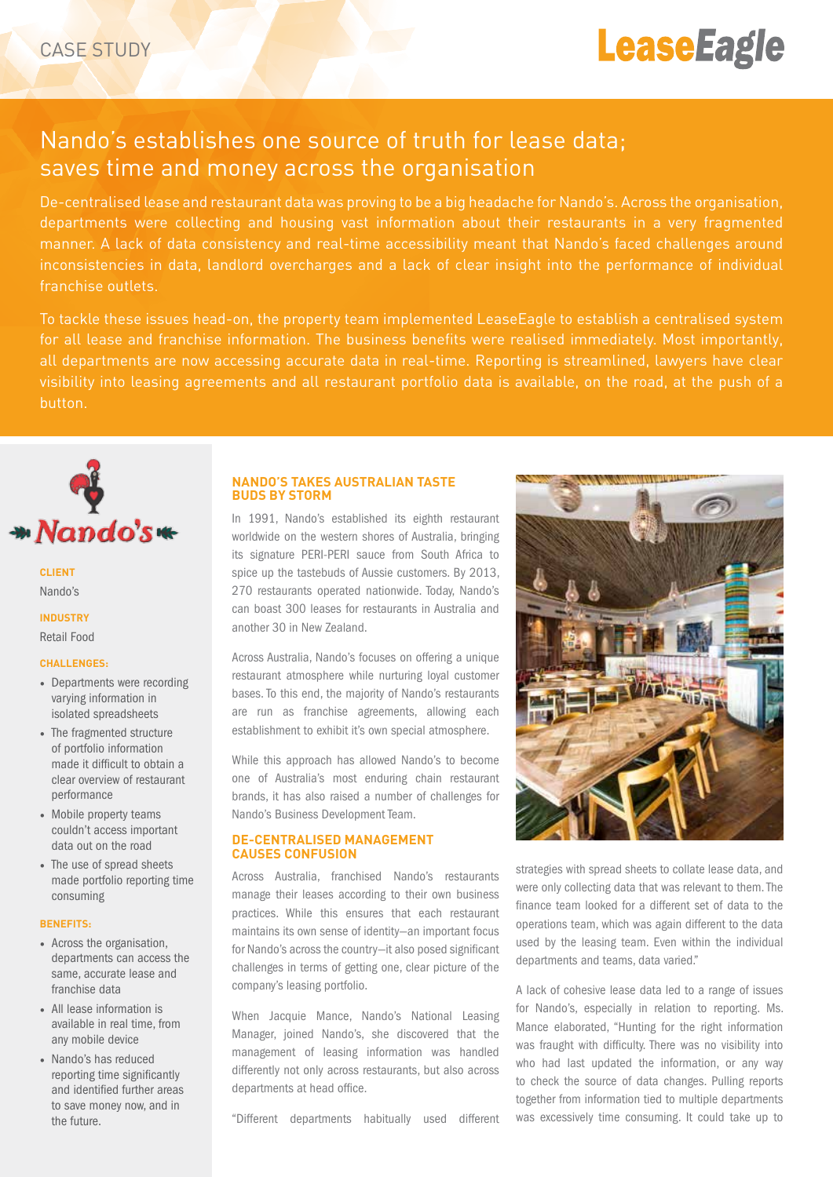# **LeaseEagle**

# Nando's establishes one source of truth for lease data; saves time and money across the organisation

De-centralised lease and restaurant data was proving to be a big headache for Nando's. Across the organisation, departments were collecting and housing vast information about their restaurants in a very fragmented manner. A lack of data consistency and real-time accessibility meant that Nando's faced challenges around inconsistencies in data, landlord overcharges and a lack of clear insight into the performance of individual franchise outlets.

To tackle these issues head-on, the property team implemented LeaseEagle to establish a centralised system for all lease and franchise information. The business benefits were realised immediately. Most importantly, all departments are now accessing accurate data in real-time. Reporting is streamlined, lawyers have clear visibility into leasing agreements and all restaurant portfolio data is available, on the road, at the push of a button.



# **Client** Nando's

# **Industry** Retail Food

#### **Challenges:**

- Departments were recording varying information in isolated spreadsheets
- The fragmented structure of portfolio information made it difficult to obtain a clear overview of restaurant performance
- Mobile property teams couldn't access important data out on the road
- The use of spread sheets made portfolio reporting time consuming

#### **Benefits:**

- Across the organisation, departments can access the same, accurate lease and franchise data
- All lease information is available in real time, from any mobile device
- Nando's has reduced reporting time significantly and identified further areas to save money now, and in the future.

# **Nando's takes Australian taste buds by storm**

In 1991, Nando's established its eighth restaurant worldwide on the western shores of Australia, bringing its signature PERI-PERI sauce from South Africa to spice up the tastebuds of Aussie customers. By 2013, 270 restaurants operated nationwide. Today, Nando's can boast 300 leases for restaurants in Australia and another 30 in New Zealand.

Across Australia, Nando's focuses on offering a unique restaurant atmosphere while nurturing loyal customer bases. To this end, the majority of Nando's restaurants are run as franchise agreements, allowing each establishment to exhibit it's own special atmosphere.

While this approach has allowed Nando's to become one of Australia's most enduring chain restaurant brands, it has also raised a number of challenges for Nando's Business Development Team.

#### **De-centralised management causes confusion**

Across Australia, franchised Nando's restaurants manage their leases according to their own business practices. While this ensures that each restaurant maintains its own sense of identity—an important focus for Nando's across the country—it also posed significant challenges in terms of getting one, clear picture of the company's leasing portfolio.

When Jacquie Mance, Nando's National Leasing Manager, joined Nando's, she discovered that the management of leasing information was handled differently not only across restaurants, but also across departments at head office.

"Different departments habitually used different



strategies with spread sheets to collate lease data, and were only collecting data that was relevant to them. The finance team looked for a different set of data to the operations team, which was again different to the data used by the leasing team. Even within the individual departments and teams, data varied."

A lack of cohesive lease data led to a range of issues for Nando's, especially in relation to reporting. Ms. Mance elaborated, "Hunting for the right information was fraught with difficulty. There was no visibility into who had last updated the information, or any way to check the source of data changes. Pulling reports together from information tied to multiple departments was excessively time consuming. It could take up to